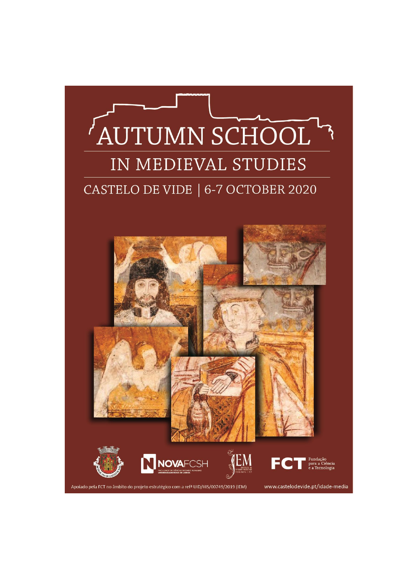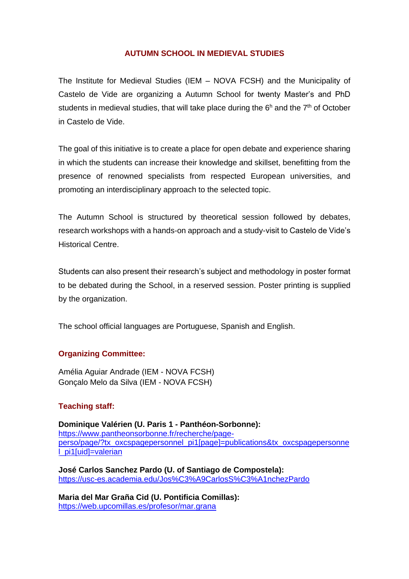## **AUTUMN SCHOOL IN MEDIEVAL STUDIES**

The Institute for Medieval Studies (IEM – NOVA FCSH) and the Municipality of Castelo de Vide are organizing a Autumn School for twenty Master's and PhD students in medieval studies, that will take place during the  $6<sup>h</sup>$  and the  $7<sup>th</sup>$  of October in Castelo de Vide.

The goal of this initiative is to create a place for open debate and experience sharing in which the students can increase their knowledge and skillset, benefitting from the presence of renowned specialists from respected European universities, and promoting an interdisciplinary approach to the selected topic.

The Autumn School is structured by theoretical session followed by debates, research workshops with a hands-on approach and a study-visit to Castelo de Vide's Historical Centre.

Students can also present their research's subject and methodology in poster format to be debated during the School, in a reserved session. Poster printing is supplied by the organization.

The school official languages are Portuguese, Spanish and English.

### **Organizing Committee:**

Amélia Aguiar Andrade (IEM - NOVA FCSH) Gonçalo Melo da Silva (IEM - NOVA FCSH)

# **Teaching staff:**

**Dominique Valérien (U. Paris 1 - [Panthéon-Sorbonne\)](https://univ-paris1.academia.edu/):**  [https://www.pantheonsorbonne.fr/recherche/page](https://www.pantheonsorbonne.fr/recherche/page-perso/page/?tx_oxcspagepersonnel_pi1%5bpage%5d=publications&tx_oxcspagepersonnel_pi1%5buid%5d=valerian)[perso/page/?tx\\_oxcspagepersonnel\\_pi1\[page\]=publications&tx\\_oxcspagepersonne](https://www.pantheonsorbonne.fr/recherche/page-perso/page/?tx_oxcspagepersonnel_pi1%5bpage%5d=publications&tx_oxcspagepersonnel_pi1%5buid%5d=valerian) [l\\_pi1\[uid\]=valerian](https://www.pantheonsorbonne.fr/recherche/page-perso/page/?tx_oxcspagepersonnel_pi1%5bpage%5d=publications&tx_oxcspagepersonnel_pi1%5buid%5d=valerian)

**José Carlos Sanchez Pardo (U. of Santiago de Compostela):**  <https://usc-es.academia.edu/Jos%C3%A9CarlosS%C3%A1nchezPardo>

**Maria del Mar Graña Cid (U. Pontificia Comillas):**  <https://web.upcomillas.es/profesor/mar.grana>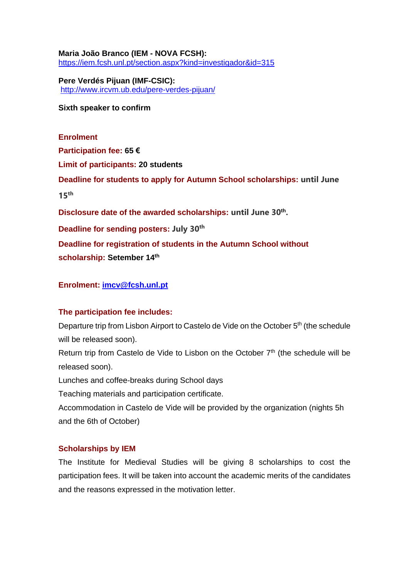**Maria João Branco (IEM - NOVA FCSH):** <https://iem.fcsh.unl.pt/section.aspx?kind=investigador&id=315>

**Pere Verdés Pijuan (IMF-CSIC):** <http://www.ircvm.ub.edu/pere-verdes-pijuan/>

**Sixth speaker to confirm**

**Enrolment Participation fee: 65 € Limit of participants: 20 students Deadline for students to apply for Autumn School scholarships: until June 15th Disclosure date of the awarded scholarships: until June 30th . Deadline for sending posters: July 30th Deadline for registration of students in the Autumn School without scholarship: Setember 14th**

## **Enrolment: [imcv@fcsh.unl.pt](mailto:imcv@fcsh.unl.pt)**

### **The participation fee includes:**

Departure trip from Lisbon Airport to Castelo de Vide on the October 5<sup>th</sup> (the schedule will be released soon).

Return trip from Castelo de Vide to Lisbon on the October  $7<sup>th</sup>$  (the schedule will be released soon).

Lunches and coffee-breaks during School days

Teaching materials and participation certificate.

Accommodation in Castelo de Vide will be provided by the organization (nights 5h and the 6th of October)

# **Scholarships by IEM**

The Institute for Medieval Studies will be giving 8 scholarships to cost the participation fees. It will be taken into account the academic merits of the candidates and the reasons expressed in the motivation letter.